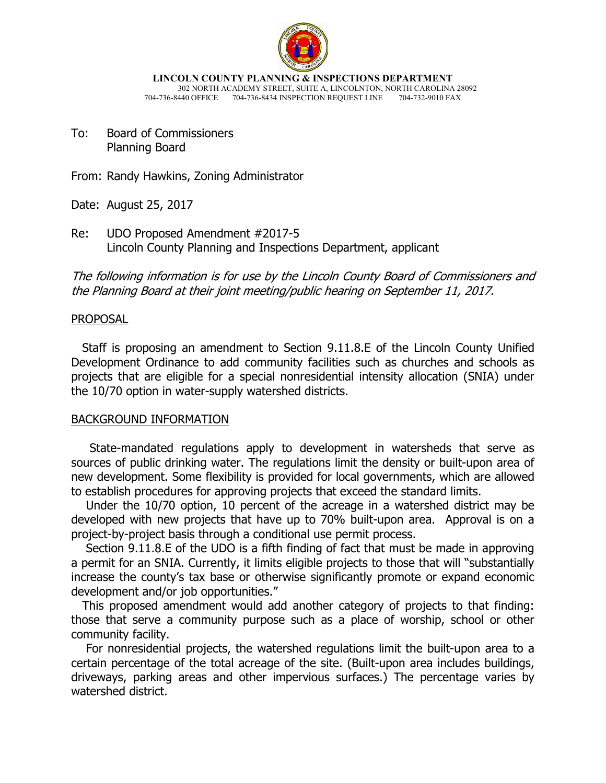

**LINCOLN COUNTY PLANNING & INSPECTIONS DEPARTMENT** 302 NORTH ACADEMY STREET, SUITE A, LINCOLNTON, NORTH CAROLINA 28092 704-736-8440 OFFICE 704-736-8434 INSPECTION REQUEST LINE 704-732-9010 FAX

To: Board of Commissioners Planning Board

From: Randy Hawkins, Zoning Administrator

Date: August 25, 2017

Re: UDO Proposed Amendment #2017-5 Lincoln County Planning and Inspections Department, applicant

The following information is for use by the Lincoln County Board of Commissioners and the Planning Board at their joint meeting/public hearing on September 11, 2017.

# PROPOSAL

 Staff is proposing an amendment to Section 9.11.8.E of the Lincoln County Unified Development Ordinance to add community facilities such as churches and schools as projects that are eligible for a special nonresidential intensity allocation (SNIA) under the 10/70 option in water-supply watershed districts.

# BACKGROUND INFORMATION

 State-mandated regulations apply to development in watersheds that serve as sources of public drinking water. The regulations limit the density or built-upon area of new development. Some flexibility is provided for local governments, which are allowed to establish procedures for approving projects that exceed the standard limits.

 Under the 10/70 option, 10 percent of the acreage in a watershed district may be developed with new projects that have up to 70% built-upon area. Approval is on a project-by-project basis through a conditional use permit process.

 Section 9.11.8.E of the UDO is a fifth finding of fact that must be made in approving a permit for an SNIA. Currently, it limits eligible projects to those that will "substantially increase the county's tax base or otherwise significantly promote or expand economic development and/or job opportunities."

 This proposed amendment would add another category of projects to that finding: those that serve a community purpose such as a place of worship, school or other community facility.

 For nonresidential projects, the watershed regulations limit the built-upon area to a certain percentage of the total acreage of the site. (Built-upon area includes buildings, driveways, parking areas and other impervious surfaces.) The percentage varies by watershed district.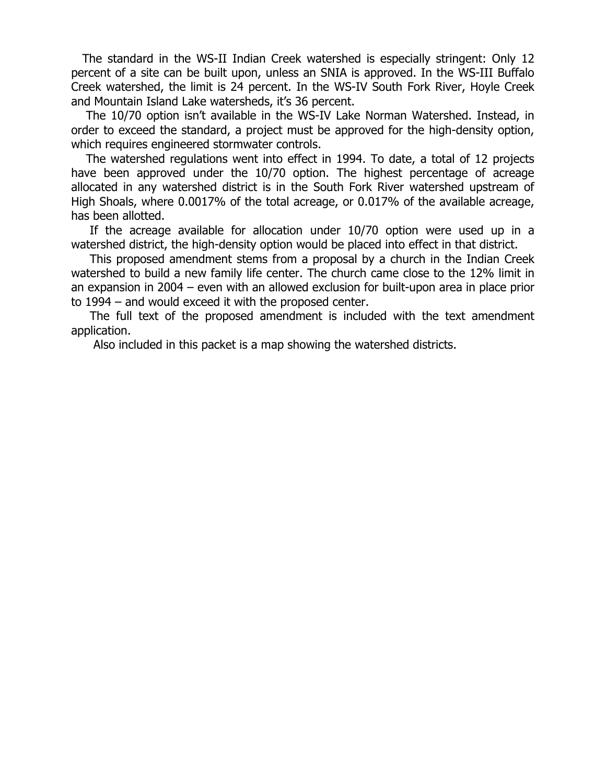The standard in the WS-II Indian Creek watershed is especially stringent: Only 12 percent of a site can be built upon, unless an SNIA is approved. In the WS-III Buffalo Creek watershed, the limit is 24 percent. In the WS-IV South Fork River, Hoyle Creek and Mountain Island Lake watersheds, it's 36 percent.

 The 10/70 option isn't available in the WS-IV Lake Norman Watershed. Instead, in order to exceed the standard, a project must be approved for the high-density option, which requires engineered stormwater controls.

 The watershed regulations went into effect in 1994. To date, a total of 12 projects have been approved under the 10/70 option. The highest percentage of acreage allocated in any watershed district is in the South Fork River watershed upstream of High Shoals, where 0.0017% of the total acreage, or 0.017% of the available acreage, has been allotted.

 If the acreage available for allocation under 10/70 option were used up in a watershed district, the high-density option would be placed into effect in that district.

 This proposed amendment stems from a proposal by a church in the Indian Creek watershed to build a new family life center. The church came close to the 12% limit in an expansion in 2004 – even with an allowed exclusion for built-upon area in place prior to 1994 – and would exceed it with the proposed center.

 The full text of the proposed amendment is included with the text amendment application.

Also included in this packet is a map showing the watershed districts.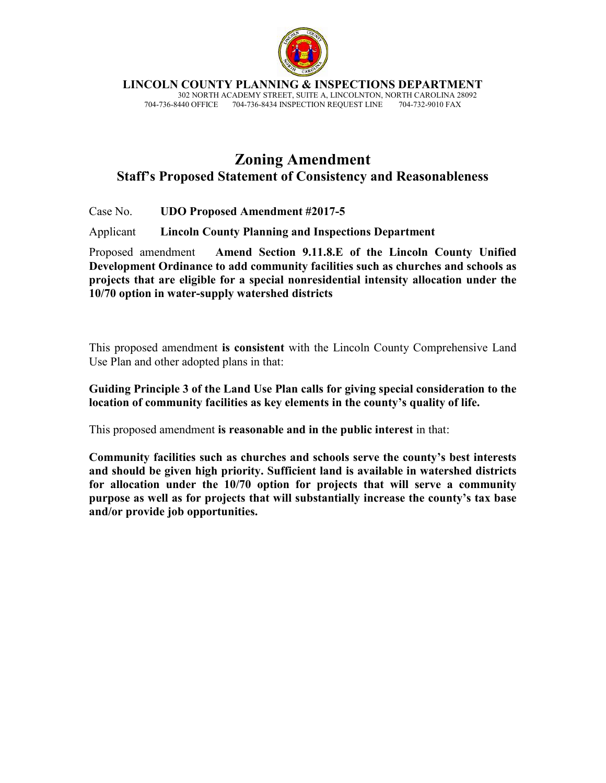

**LINCOLN COUNTY PLANNING & INSPECTIONS DEPARTMENT**

 302 NORTH ACADEMY STREET, SUITE A, LINCOLNTON, NORTH CAROLINA 28092 704-736-8434 INSPECTION REQUEST LINE

# **Zoning Amendment Staff's Proposed Statement of Consistency and Reasonableness**

Case No. **UDO Proposed Amendment #2017-5** 

Applicant **Lincoln County Planning and Inspections Department**

Proposed amendment **Amend Section 9.11.8.E of the Lincoln County Unified Development Ordinance to add community facilities such as churches and schools as projects that are eligible for a special nonresidential intensity allocation under the 10/70 option in water-supply watershed districts** 

This proposed amendment **is consistent** with the Lincoln County Comprehensive Land Use Plan and other adopted plans in that:

**Guiding Principle 3 of the Land Use Plan calls for giving special consideration to the location of community facilities as key elements in the county's quality of life.** 

This proposed amendment **is reasonable and in the public interest** in that:

**Community facilities such as churches and schools serve the county's best interests and should be given high priority. Sufficient land is available in watershed districts for allocation under the 10/70 option for projects that will serve a community purpose as well as for projects that will substantially increase the county's tax base and/or provide job opportunities.**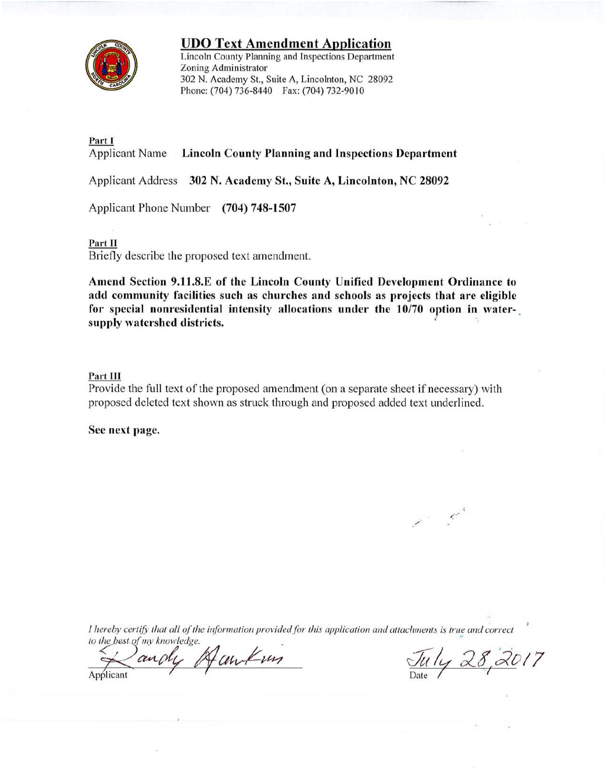

**UDO Text Amendment Application** 

Lincoln County Planning and Inspections Department Zoning Administrator 302 N. Academy St., Suite A, Lincolnton, NC 28092 Phone: (704) 736-8440 Fax: (704) 732-9010

# Part I

**Applicant Name Lincoln County Planning and Inspections Department** 

Applicant Address 302 N. Academy St., Suite A, Lincolnton, NC 28092

Applicant Phone Number (704) 748-1507

### Part II

Briefly describe the proposed text amendment.

Amend Section 9.11.8.E of the Lincoln County Unified Development Ordinance to add community facilities such as churches and schools as projects that are eligible for special nonresidential intensity allocations under the 10/70 option in watersupply watershed districts.

### Part III

Provide the full text of the proposed amendment (on a separate sheet if necessary) with proposed deleted text shown as struck through and proposed added text underlined.

See next page.

I hereby certify that all of the information provided for this application and attachments is true and correct to the best of my knowledge.

Famkun andy Applicant

July 28, 2017

 $\mathcal{L}^{\mathcal{L}}$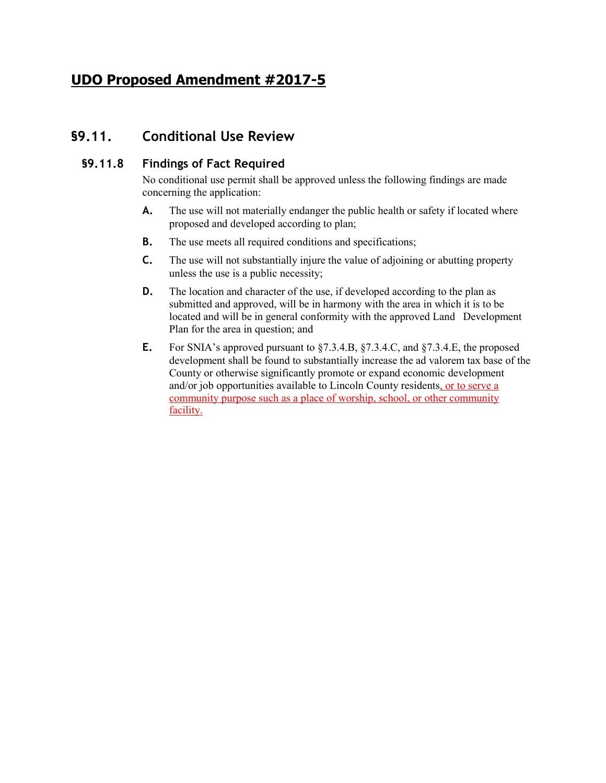# **UDO Proposed Amendment #2017-5**

# **§9.11. Conditional Use Review**

## **§9.11.8 Findings of Fact Required**

No conditional use permit shall be approved unless the following findings are made concerning the application:

- **A.** The use will not materially endanger the public health or safety if located where proposed and developed according to plan;
- **B.** The use meets all required conditions and specifications;
- **C.** The use will not substantially injure the value of adjoining or abutting property unless the use is a public necessity;
- **D.** The location and character of the use, if developed according to the plan as submitted and approved, will be in harmony with the area in which it is to be located and will be in general conformity with the approved Land Development Plan for the area in question; and
- **E.** For SNIA's approved pursuant to §7.3.4.B, §7.3.4.C, and §7.3.4.E, the proposed development shall be found to substantially increase the ad valorem tax base of the County or otherwise significantly promote or expand economic development and/or job opportunities available to Lincoln County residents, or to serve a community purpose such as a place of worship, school, or other community facility.